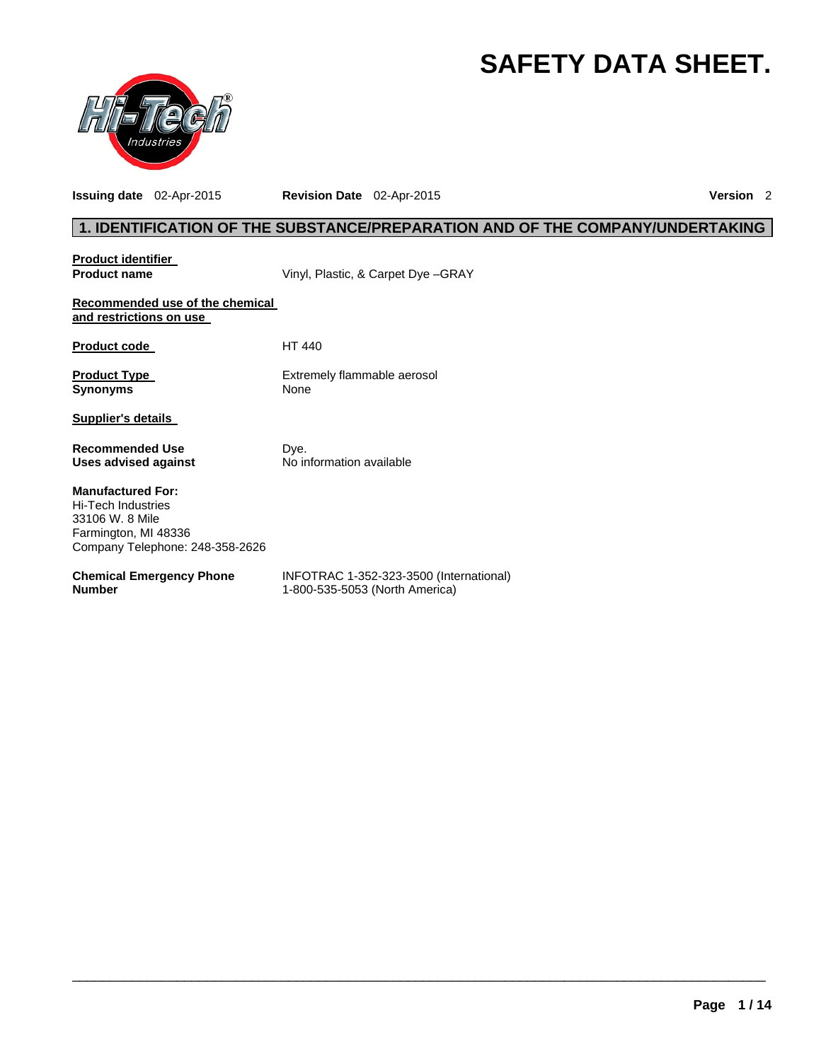# **SAFETY DATA SHEET.**



**Issuing date** 02-Apr-2015 **Revision Date** 02-Apr-2015 **Version** 2

# **1. IDENTIFICATION OF THE SUBSTANCE/PREPARATION AND OF THE COMPANY/UNDERTAKING**

| <b>Product identifier</b>                                                                                                           |                                                                           |
|-------------------------------------------------------------------------------------------------------------------------------------|---------------------------------------------------------------------------|
| <b>Product name</b>                                                                                                                 | Vinyl, Plastic, & Carpet Dye -GRAY                                        |
| Recommended use of the chemical<br>and restrictions on use                                                                          |                                                                           |
| <b>Product code</b>                                                                                                                 | HT 440                                                                    |
| <b>Product Type</b><br><b>Synonyms</b>                                                                                              | Extremely flammable aerosol<br>None                                       |
| <b>Supplier's details</b>                                                                                                           |                                                                           |
| <b>Recommended Use</b><br><b>Uses advised against</b>                                                                               | Dye.<br>No information available                                          |
| <b>Manufactured For:</b><br><b>Hi-Tech Industries</b><br>33106 W. 8 Mile<br>Farmington, MI 48336<br>Company Telephone: 248-358-2626 |                                                                           |
| <b>Chemical Emergency Phone</b><br><b>Number</b>                                                                                    | INFOTRAC 1-352-323-3500 (International)<br>1-800-535-5053 (North America) |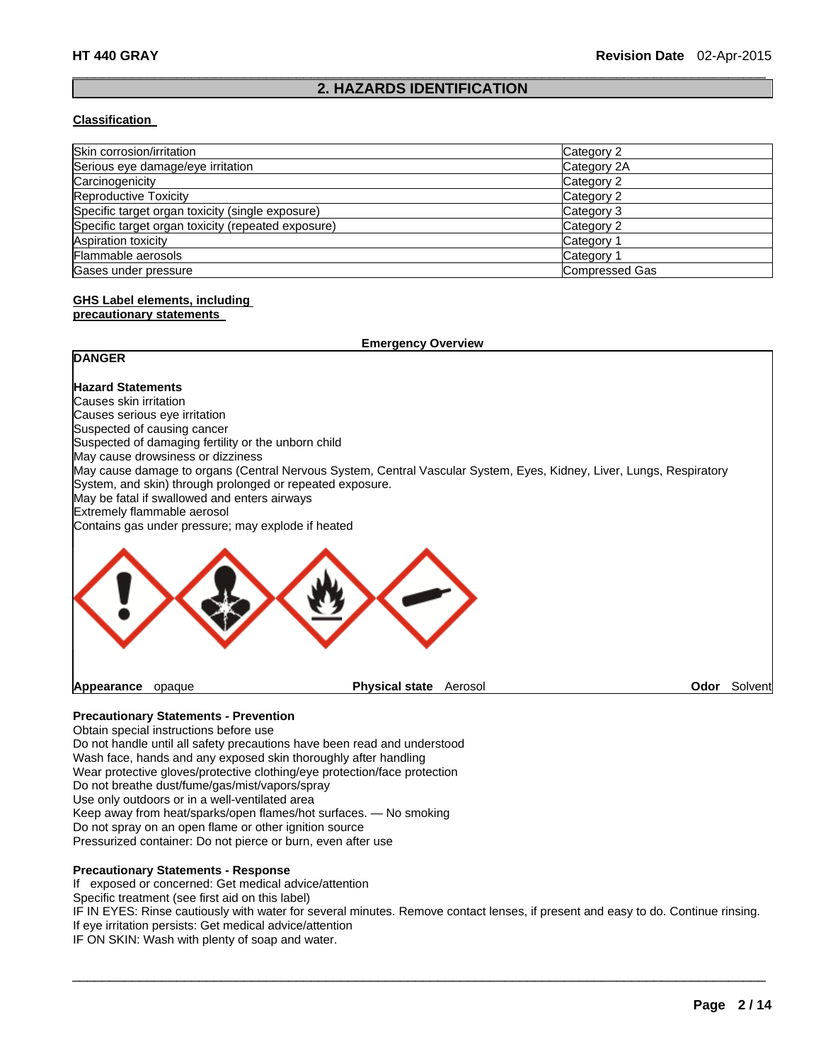### $\Box$ **2. HAZARDS IDENTIFICATION**

#### **Classification**

| Skin corrosion/irritation                          | Category 2            |
|----------------------------------------------------|-----------------------|
| Serious eye damage/eye irritation                  | Category 2A           |
| Carcinogenicity                                    | Category 2            |
| Reproductive Toxicity                              | Category 2            |
| Specific target organ toxicity (single exposure)   | Category 3            |
| Specific target organ toxicity (repeated exposure) | Category 2            |
| Aspiration toxicity                                | Category 1            |
| Flammable aerosols                                 | Category 1            |
| Gases under pressure                               | <b>Compressed Gas</b> |

# **GHS Label elements, including**

#### **precautionary statements**

| <b>Emergency Overview</b>                                 |                       |                                                                                                                      |  |                     |
|-----------------------------------------------------------|-----------------------|----------------------------------------------------------------------------------------------------------------------|--|---------------------|
| <b>DANGER</b>                                             |                       |                                                                                                                      |  |                     |
| <b>Hazard Statements</b>                                  |                       |                                                                                                                      |  |                     |
| Causes skin irritation                                    |                       |                                                                                                                      |  |                     |
| Causes serious eye irritation                             |                       |                                                                                                                      |  |                     |
| Suspected of causing cancer                               |                       |                                                                                                                      |  |                     |
| Suspected of damaging fertility or the unborn child       |                       |                                                                                                                      |  |                     |
| May cause drowsiness or dizziness                         |                       |                                                                                                                      |  |                     |
|                                                           |                       | May cause damage to organs (Central Nervous System, Central Vascular System, Eyes, Kidney, Liver, Lungs, Respiratory |  |                     |
| System, and skin) through prolonged or repeated exposure. |                       |                                                                                                                      |  |                     |
| May be fatal if swallowed and enters airways              |                       |                                                                                                                      |  |                     |
| Extremely flammable aerosol                               |                       |                                                                                                                      |  |                     |
| Contains gas under pressure; may explode if heated        |                       |                                                                                                                      |  |                     |
|                                                           |                       |                                                                                                                      |  |                     |
| Appearance<br>opaque                                      | <b>Physical state</b> | Aerosol                                                                                                              |  | <b>Odor</b> Solvent |

# **Precautionary Statements - Prevention**

Obtain special instructions before use Do not handle until all safety precautions have been read and understood Wash face, hands and any exposed skin thoroughly after handling Wear protective gloves/protective clothing/eye protection/face protection Do not breathe dust/fume/gas/mist/vapors/spray Use only outdoors or in a well-ventilated area Keep away from heat/sparks/open flames/hot surfaces. — No smoking Do not spray on an open flame or other ignition source Pressurized container: Do not pierce or burn, even after use

#### **Precautionary Statements - Response**

If exposed or concerned: Get medical advice/attention

Specific treatment (see first aid on this label)

IF IN EYES: Rinse cautiously with water for several minutes. Remove contact lenses, if present and easy to do. Continue rinsing. If eye irritation persists: Get medical advice/attention

 $\Box$ 

IF ON SKIN: Wash with plenty of soap and water.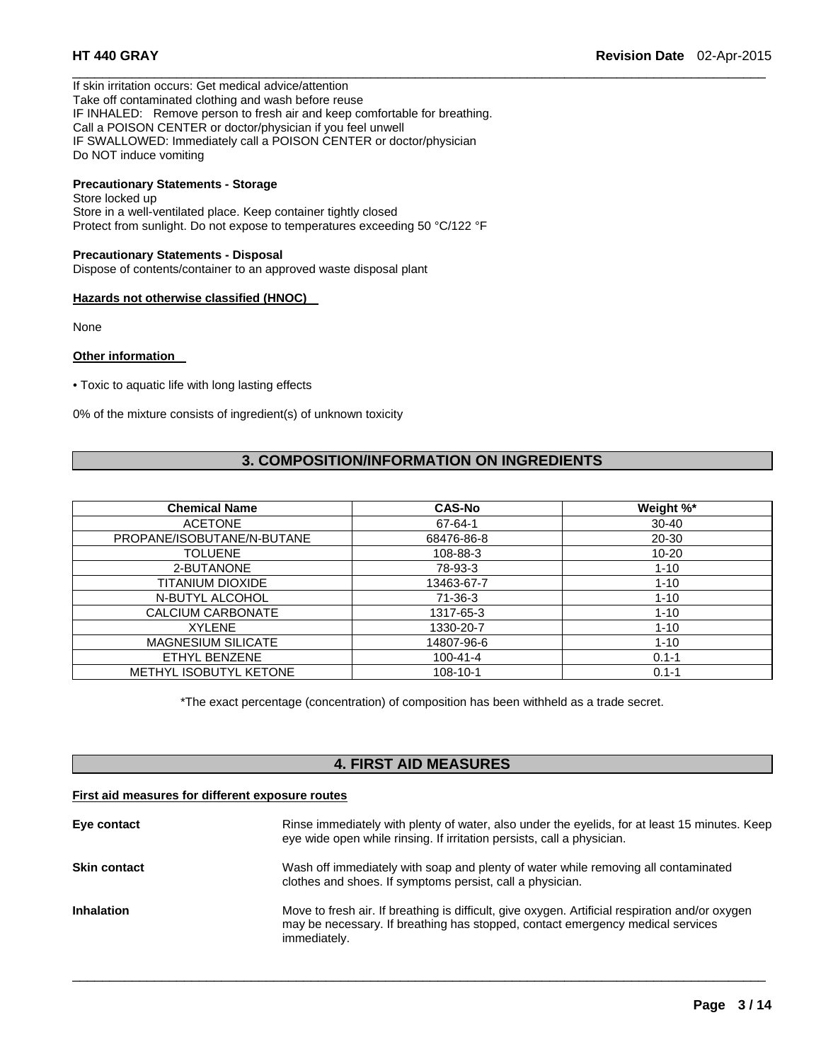If skin irritation occurs: Get medical advice/attention Take off contaminated clothing and wash before reuse IF INHALED: Remove person to fresh air and keep comfortable for breathing. Call a POISON CENTER or doctor/physician if you feel unwell IF SWALLOWED: Immediately call a POISON CENTER or doctor/physician Do NOT induce vomiting

# **Precautionary Statements - Storage**

Store locked up Store in a well-ventilated place. Keep container tightly closed Protect from sunlight. Do not expose to temperatures exceeding 50 °C/122 °F

#### **Precautionary Statements - Disposal**

Dispose of contents/container to an approved waste disposal plant

#### **Hazards not otherwise classified (HNOC)**

None

#### **Other information**

• Toxic to aquatic life with long lasting effects

0% of the mixture consists of ingredient(s) of unknown toxicity

# **3. COMPOSITION/INFORMATION ON INGREDIENTS**

 $\Box$ 

| <b>Chemical Name</b>          | <b>CAS-No</b>  | Weight %* |
|-------------------------------|----------------|-----------|
| <b>ACETONE</b>                | 67-64-1        | $30 - 40$ |
| PROPANE/ISOBUTANE/N-BUTANE    | 68476-86-8     | 20-30     |
| <b>TOLUENE</b>                | 108-88-3       | $10 - 20$ |
| 2-BUTANONE                    | 78-93-3        | $1 - 10$  |
| <b>TITANIUM DIOXIDE</b>       | 13463-67-7     | $1 - 10$  |
| N-BUTYL ALCOHOL               | $71-36-3$      | $1 - 10$  |
| CALCIUM CARBONATE             | 1317-65-3      | $1 - 10$  |
| <b>XYLENE</b>                 | 1330-20-7      | $1 - 10$  |
| <b>MAGNESIUM SILICATE</b>     | 14807-96-6     | $1 - 10$  |
| ETHYL BENZENE                 | $100 - 41 - 4$ | $0.1 - 1$ |
| <b>METHYL ISOBUTYL KETONE</b> | $108 - 10 - 1$ | $0.1 - 1$ |

\*The exact percentage (concentration) of composition has been withheld as a trade secret.

# **4. FIRST AID MEASURES**

#### **First aid measures for different exposure routes**

| Eye contact         | Rinse immediately with plenty of water, also under the eyelids, for at least 15 minutes. Keep<br>eye wide open while rinsing. If irritation persists, call a physician.                           |
|---------------------|---------------------------------------------------------------------------------------------------------------------------------------------------------------------------------------------------|
| <b>Skin contact</b> | Wash off immediately with soap and plenty of water while removing all contaminated<br>clothes and shoes. If symptoms persist, call a physician.                                                   |
| <b>Inhalation</b>   | Move to fresh air. If breathing is difficult, give oxygen. Artificial respiration and/or oxygen<br>may be necessary. If breathing has stopped, contact emergency medical services<br>immediately. |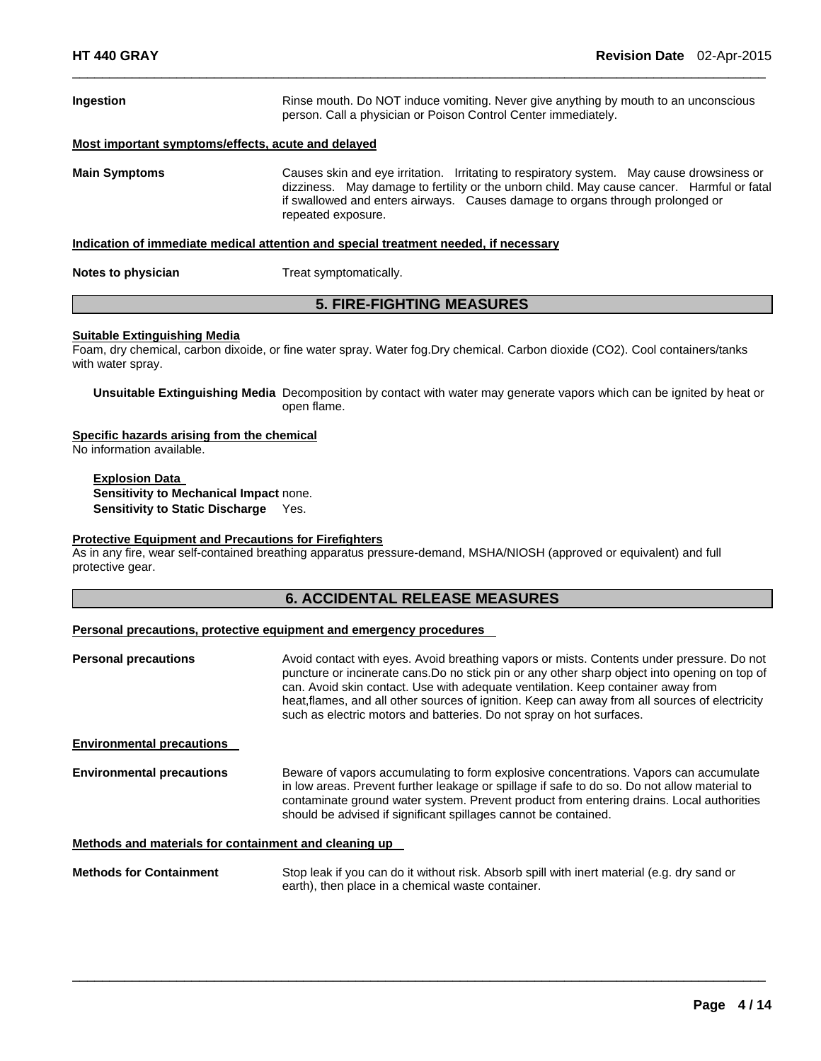| Ingestion                                                                            | Rinse mouth. Do NOT induce vomiting. Never give anything by mouth to an unconscious<br>person. Call a physician or Poison Control Center immediately.                                                                                                                                          |  |
|--------------------------------------------------------------------------------------|------------------------------------------------------------------------------------------------------------------------------------------------------------------------------------------------------------------------------------------------------------------------------------------------|--|
| Most important symptoms/effects, acute and delayed                                   |                                                                                                                                                                                                                                                                                                |  |
| <b>Main Symptoms</b>                                                                 | Causes skin and eye irritation. Irritating to respiratory system. May cause drowsiness or<br>dizziness. May damage to fertility or the unborn child. May cause cancer. Harmful or fatal<br>if swallowed and enters airways. Causes damage to organs through prolonged or<br>repeated exposure. |  |
| Indication of immediate medical attention and special treatment needed, if necessary |                                                                                                                                                                                                                                                                                                |  |
| Notes to physician                                                                   | Treat symptomatically.                                                                                                                                                                                                                                                                         |  |
| <b>5. FIRE-FIGHTING MEASURES</b>                                                     |                                                                                                                                                                                                                                                                                                |  |

 $\Box$ 

#### **Suitable Extinguishing Media**

Foam, dry chemical, carbon dixoide, or fine water spray. Water fog.Dry chemical. Carbon dioxide (CO2). Cool containers/tanks with water spray.

**Unsuitable Extinguishing Media** Decomposition by contact with water may generate vapors which can be ignited by heat or open flame.

**Specific hazards arising from the chemical** 

No information available.

**Explosion Data Sensitivity to Mechanical Impact** none. **Sensitivity to Static Discharge** Yes.

### **Protective Equipment and Precautions for Firefighters**

As in any fire, wear self-contained breathing apparatus pressure-demand, MSHA/NIOSH (approved or equivalent) and full protective gear.

# **6. ACCIDENTAL RELEASE MEASURES**

#### **Personal precautions, protective equipment and emergency procedures**

| <b>Personal precautions</b>                           | Avoid contact with eyes. Avoid breathing vapors or mists. Contents under pressure. Do not<br>puncture or incinerate cans. Do no stick pin or any other sharp object into opening on top of<br>can. Avoid skin contact. Use with adequate ventilation. Keep container away from<br>heat, flames, and all other sources of ignition. Keep can away from all sources of electricity<br>such as electric motors and batteries. Do not spray on hot surfaces. |
|-------------------------------------------------------|----------------------------------------------------------------------------------------------------------------------------------------------------------------------------------------------------------------------------------------------------------------------------------------------------------------------------------------------------------------------------------------------------------------------------------------------------------|
| <b>Environmental precautions</b>                      |                                                                                                                                                                                                                                                                                                                                                                                                                                                          |
| <b>Environmental precautions</b>                      | Beware of vapors accumulating to form explosive concentrations. Vapors can accumulate<br>in low areas. Prevent further leakage or spillage if safe to do so. Do not allow material to<br>contaminate ground water system. Prevent product from entering drains. Local authorities<br>should be advised if significant spillages cannot be contained.                                                                                                     |
| Methods and materials for containment and cleaning up |                                                                                                                                                                                                                                                                                                                                                                                                                                                          |

**Methods for Containment** Stop leak if you can do it without risk. Absorb spill with inert material (e.g. dry sand or earth), then place in a chemical waste container.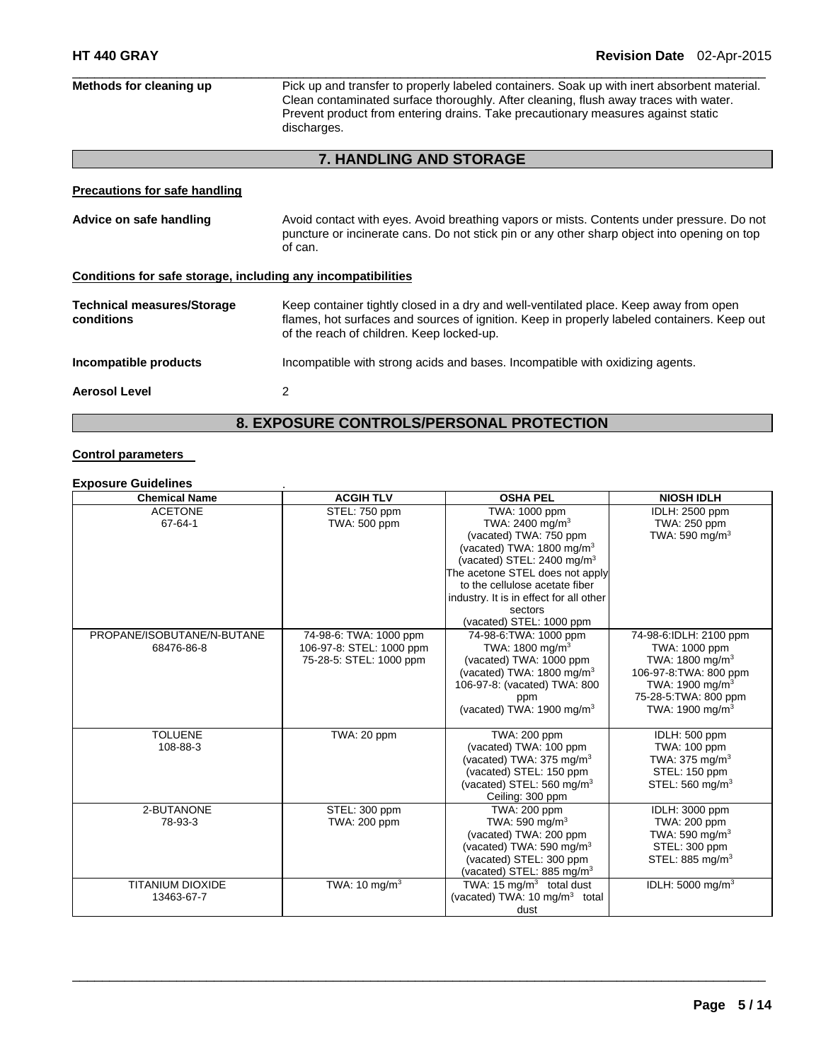| Methods for cleaning up                                      | Pick up and transfer to properly labeled containers. Soak up with inert absorbent material.<br>Clean contaminated surface thoroughly. After cleaning, flush away traces with water.<br>Prevent product from entering drains. Take precautionary measures against static<br>discharges. |  |  |
|--------------------------------------------------------------|----------------------------------------------------------------------------------------------------------------------------------------------------------------------------------------------------------------------------------------------------------------------------------------|--|--|
|                                                              | <b>7. HANDLING AND STORAGE</b>                                                                                                                                                                                                                                                         |  |  |
| <b>Precautions for safe handling</b>                         |                                                                                                                                                                                                                                                                                        |  |  |
| Advice on safe handling                                      | Avoid contact with eyes. Avoid breathing vapors or mists. Contents under pressure. Do not<br>puncture or incinerate cans. Do not stick pin or any other sharp object into opening on top<br>of can.                                                                                    |  |  |
| Conditions for safe storage, including any incompatibilities |                                                                                                                                                                                                                                                                                        |  |  |
| <b>Technical measures/Storage</b><br>conditions              | Keep container tightly closed in a dry and well-ventilated place. Keep away from open<br>flames, hot surfaces and sources of ignition. Keep in properly labeled containers. Keep out<br>of the reach of children. Keep locked-up.                                                      |  |  |
| Incompatible products                                        | Incompatible with strong acids and bases. Incompatible with oxidizing agents.                                                                                                                                                                                                          |  |  |
| <b>Aerosol Level</b>                                         | 2                                                                                                                                                                                                                                                                                      |  |  |
| <b>8. EXPOSURE CONTROLS/PERSONAL PROTECTION</b>              |                                                                                                                                                                                                                                                                                        |  |  |

# **Control parameters**

### **Exposure Guidelines** .

| <b>Chemical Name</b>       | <b>ACGIH TLV</b>         | <b>OSHA PEL</b>                           | <b>NIOSH IDLH</b>            |
|----------------------------|--------------------------|-------------------------------------------|------------------------------|
| <b>ACETONE</b>             | STEL: 750 ppm            | TWA: 1000 ppm                             | <b>IDLH: 2500 ppm</b>        |
| 67-64-1                    | TWA: 500 ppm             | TWA: 2400 mg/m <sup>3</sup>               | TWA: 250 ppm                 |
|                            |                          | (vacated) TWA: 750 ppm                    | TWA: 590 mg/m <sup>3</sup>   |
|                            |                          | (vacated) TWA: $1800 \text{ mg/m}^3$      |                              |
|                            |                          | (vacated) STEL: $2400 \text{ mg/m}^3$     |                              |
|                            |                          | The acetone STEL does not apply           |                              |
|                            |                          | to the cellulose acetate fiber            |                              |
|                            |                          | industry. It is in effect for all other   |                              |
|                            |                          | sectors                                   |                              |
|                            |                          | (vacated) STEL: 1000 ppm                  |                              |
| PROPANE/ISOBUTANE/N-BUTANE | 74-98-6: TWA: 1000 ppm   | 74-98-6: TWA: 1000 ppm                    | 74-98-6:IDLH: 2100 ppm       |
| 68476-86-8                 | 106-97-8: STEL: 1000 ppm | TWA: 1800 mg/m <sup>3</sup>               | TWA: 1000 ppm                |
|                            | 75-28-5: STEL: 1000 ppm  | (vacated) TWA: 1000 ppm                   | TWA: 1800 mg/m <sup>3</sup>  |
|                            |                          | (vacated) TWA: $1800 \text{ mg/m}^3$      | 106-97-8: TWA: 800 ppm       |
|                            |                          | 106-97-8: (vacated) TWA: 800              | TWA: 1900 mg/m $3$           |
|                            |                          | ppm                                       | 75-28-5: TWA: 800 ppm        |
|                            |                          | (vacated) TWA: 1900 mg/m <sup>3</sup>     | TWA: 1900 mg/m $3$           |
|                            |                          |                                           |                              |
| <b>TOLUENE</b>             | TWA: 20 ppm              | TWA: 200 ppm                              | IDLH: 500 ppm                |
| 108-88-3                   |                          | (vacated) TWA: 100 ppm                    | TWA: 100 ppm                 |
|                            |                          | (vacated) TWA: $375 \text{ mg/m}^3$       | TWA: $375 \text{ mg/m}^3$    |
|                            |                          | (vacated) STEL: 150 ppm                   | STEL: 150 ppm                |
|                            |                          | (vacated) STEL: 560 mg/m <sup>3</sup>     | STEL: 560 mg/m <sup>3</sup>  |
|                            |                          | Ceiling: 300 ppm                          |                              |
| 2-BUTANONE                 | STEL: 300 ppm            | TWA: 200 ppm                              | IDLH: 3000 ppm               |
| 78-93-3                    | TWA: 200 ppm             | TWA: 590 mg/m $3$                         | TWA: 200 ppm                 |
|                            |                          | (vacated) TWA: 200 ppm                    | TWA: 590 mg/m $3$            |
|                            |                          | (vacated) TWA: 590 mg/m $3$               | STEL: 300 ppm                |
|                            |                          | (vacated) STEL: 300 ppm                   | STEL: 885 mg/m <sup>3</sup>  |
|                            |                          | (vacated) STEL: 885 mg/m <sup>3</sup>     |                              |
| <b>TITANIUM DIOXIDE</b>    | TWA: 10 $mq/m3$          | TWA: 15 $mq/m3$ total dust                | IDLH: 5000 mg/m <sup>3</sup> |
| 13463-67-7                 |                          | (vacated) TWA: 10 mg/m <sup>3</sup> total |                              |
|                            |                          | dust                                      |                              |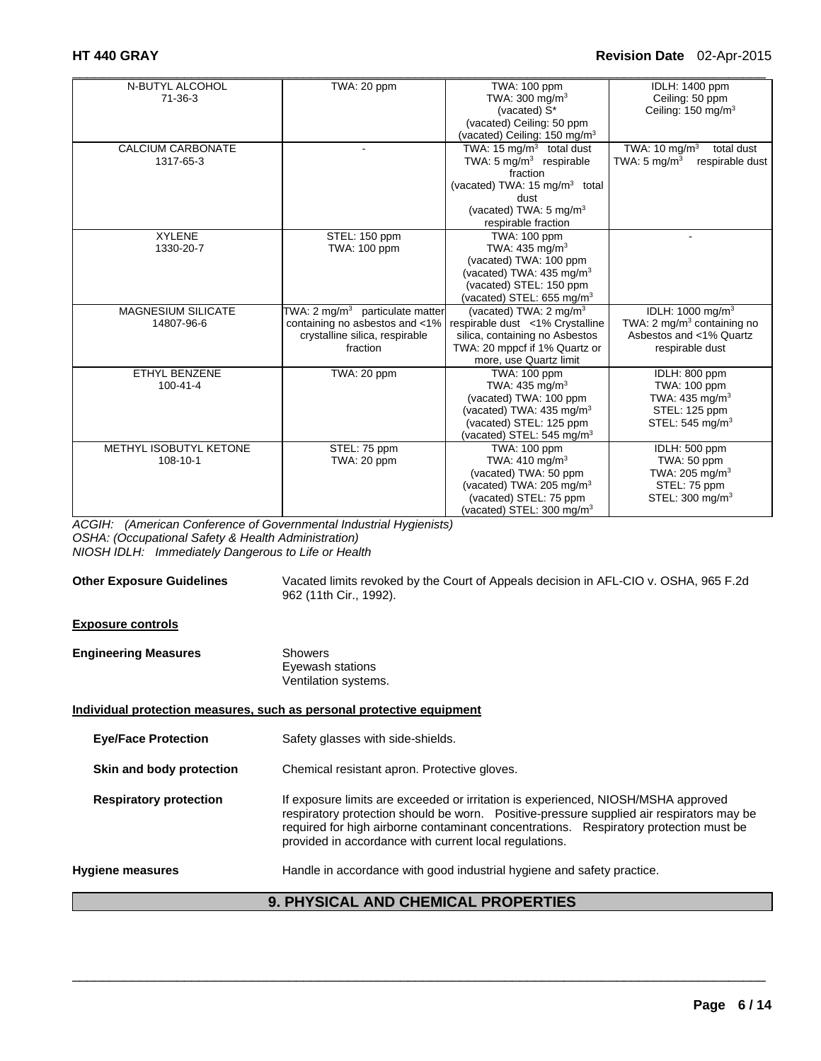| N-BUTYL ALCOHOL           | TWA: 20 ppm                                | TWA: 100 ppm                              | IDLH: 1400 ppm                             |
|---------------------------|--------------------------------------------|-------------------------------------------|--------------------------------------------|
| $71-36-3$                 |                                            | TWA: 300 mg/m <sup>3</sup>                | Ceiling: 50 ppm                            |
|                           |                                            | (vacated) S*                              | Ceiling: 150 mg/m <sup>3</sup>             |
|                           |                                            | (vacated) Ceiling: 50 ppm                 |                                            |
|                           |                                            | (vacated) Ceiling: 150 mg/m <sup>3</sup>  |                                            |
| <b>CALCIUM CARBONATE</b>  |                                            | TWA: 15 $mq/m3$ total dust                | TWA: $10 \text{ mg/m}^3$<br>total dust     |
| 1317-65-3                 |                                            | TWA: $5 \text{ mg/m}^3$ respirable        | TWA: $5 \text{ mg/m}^3$<br>respirable dust |
|                           |                                            | fraction                                  |                                            |
|                           |                                            | (vacated) TWA: 15 mg/m <sup>3</sup> total |                                            |
|                           |                                            | dust                                      |                                            |
|                           |                                            | (vacated) TWA: $5 \text{ mg/m}^3$         |                                            |
|                           |                                            | respirable fraction                       |                                            |
| <b>XYLENE</b>             | STEL: 150 ppm                              | TWA: 100 ppm                              |                                            |
| 1330-20-7                 | TWA: 100 ppm                               | TWA: $435 \text{ mg/m}^3$                 |                                            |
|                           |                                            | (vacated) TWA: 100 ppm                    |                                            |
|                           |                                            | (vacated) TWA: 435 mg/m <sup>3</sup>      |                                            |
|                           |                                            | (vacated) STEL: 150 ppm                   |                                            |
|                           |                                            | (vacated) STEL: $655 \text{ mg/m}^3$      |                                            |
| <b>MAGNESIUM SILICATE</b> | TWA: $2 \text{ mg/m}^3$ particulate matter | (vacated) TWA: $2 \text{ mg/m}^3$         | IDLH: 1000 mg/m <sup>3</sup>               |
| 14807-96-6                | containing no asbestos and <1%             | respirable dust <1% Crystalline           | TWA: 2 mg/m <sup>3</sup> containing no     |
|                           | crystalline silica, respirable             | silica, containing no Asbestos            | Asbestos and <1% Quartz                    |
|                           | fraction                                   | TWA: 20 mppcf if 1% Quartz or             | respirable dust                            |
|                           |                                            | more, use Quartz limit                    |                                            |
| ETHYL BENZENE             | TWA: 20 ppm                                | TWA: 100 ppm                              | IDLH: 800 ppm                              |
| $100 - 41 - 4$            |                                            | TWA: $435 \text{ mg/m}^3$                 | TWA: 100 ppm                               |
|                           |                                            | (vacated) TWA: 100 ppm                    | TWA: 435 mg/m <sup>3</sup>                 |
|                           |                                            | (vacated) TWA: 435 mg/m <sup>3</sup>      | STEL: 125 ppm                              |
|                           |                                            | (vacated) STEL: 125 ppm                   | STEL: 545 mg/m <sup>3</sup>                |
|                           |                                            | (vacated) STEL: $545 \text{ mg/m}^3$      |                                            |
| METHYL ISOBUTYL KETONE    | STEL: 75 ppm                               | TWA: 100 ppm                              | IDLH: 500 ppm                              |
| 108-10-1                  | TWA: 20 ppm                                | TWA: $410 \text{ mg/m}^3$                 | TWA: 50 ppm                                |
|                           |                                            | (vacated) TWA: 50 ppm                     | TWA: 205 mg/m <sup>3</sup>                 |
|                           |                                            | (vacated) TWA: 205 mg/m <sup>3</sup>      | STEL: 75 ppm                               |
|                           |                                            | (vacated) STEL: 75 ppm                    | STEL: 300 mg/m <sup>3</sup>                |
|                           |                                            | (vacated) STEL: $300 \text{ mg/m}^3$      |                                            |

*ACGIH: (American Conference of Governmental Industrial Hygienists) OSHA: (Occupational Safety & Health Administration) NIOSH IDLH: Immediately Dangerous to Life or Health* 

| <b>Other Exposure Guidelines</b>           | Vacated limits revoked by the Court of Appeals decision in AFL-CIO v. OSHA, 965 F.2d<br>962 (11th Cir., 1992).                                                                                                                                                                                                                   |  |
|--------------------------------------------|----------------------------------------------------------------------------------------------------------------------------------------------------------------------------------------------------------------------------------------------------------------------------------------------------------------------------------|--|
| <b>Exposure controls</b>                   |                                                                                                                                                                                                                                                                                                                                  |  |
| <b>Engineering Measures</b>                | <b>Showers</b><br>Eyewash stations<br>Ventilation systems.                                                                                                                                                                                                                                                                       |  |
|                                            | Individual protection measures, such as personal protective equipment                                                                                                                                                                                                                                                            |  |
| <b>Eye/Face Protection</b>                 | Safety glasses with side-shields.                                                                                                                                                                                                                                                                                                |  |
| Skin and body protection                   | Chemical resistant apron. Protective gloves.                                                                                                                                                                                                                                                                                     |  |
| <b>Respiratory protection</b>              | If exposure limits are exceeded or irritation is experienced, NIOSH/MSHA approved<br>respiratory protection should be worn. Positive-pressure supplied air respirators may be<br>required for high airborne contaminant concentrations. Respiratory protection must be<br>provided in accordance with current local regulations. |  |
| <b>Hygiene measures</b>                    | Handle in accordance with good industrial hygiene and safety practice.                                                                                                                                                                                                                                                           |  |
| <b>9. PHYSICAL AND CHEMICAL PROPERTIES</b> |                                                                                                                                                                                                                                                                                                                                  |  |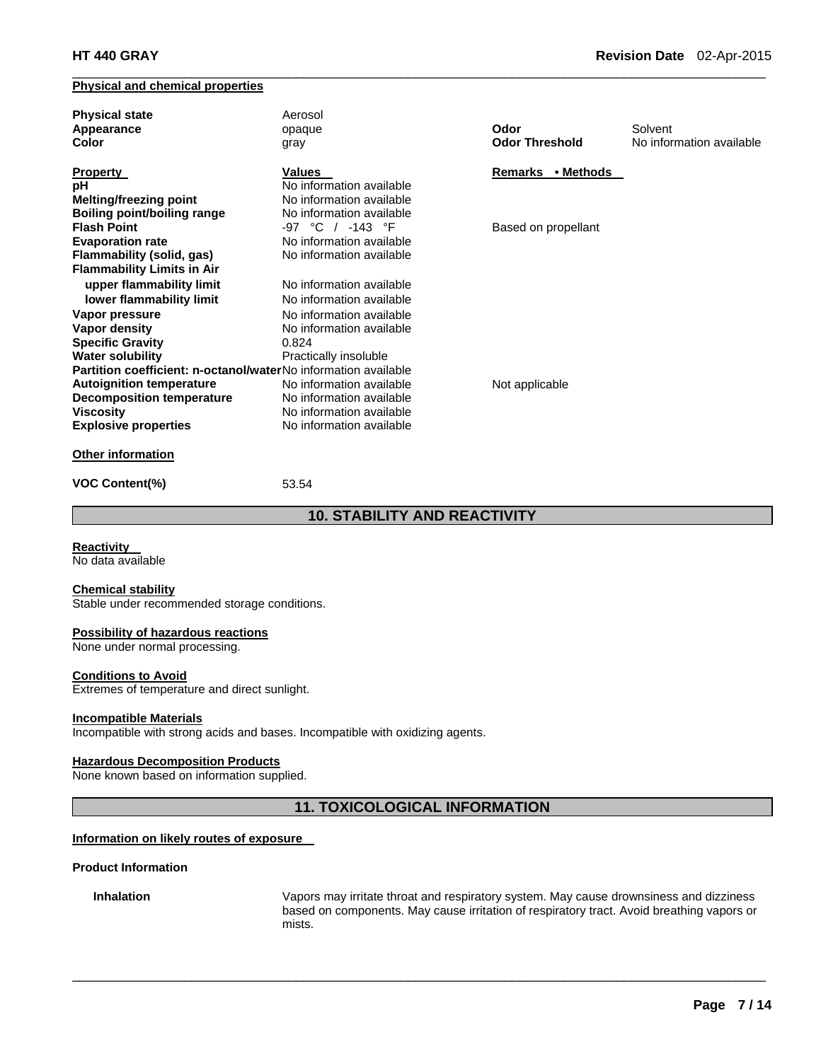### **Physical and chemical properties**

| <b>Physical state</b><br>Appearance<br>Color                          | Aerosol<br>opaque<br>gray          | Odor<br><b>Odor Threshold</b> | Solvent<br>No information available |
|-----------------------------------------------------------------------|------------------------------------|-------------------------------|-------------------------------------|
| <b>Property</b>                                                       | Values<br>No information available | Remarks • Methods             |                                     |
| рH<br><b>Melting/freezing point</b>                                   | No information available           |                               |                                     |
| <b>Boiling point/boiling range</b>                                    | No information available           |                               |                                     |
| <b>Flash Point</b>                                                    | -97 °C / -143 °F                   | Based on propellant           |                                     |
| <b>Evaporation rate</b>                                               | No information available           |                               |                                     |
| Flammability (solid, gas)                                             | No information available           |                               |                                     |
| <b>Flammability Limits in Air</b>                                     |                                    |                               |                                     |
| upper flammability limit                                              | No information available           |                               |                                     |
| lower flammability limit                                              | No information available           |                               |                                     |
| Vapor pressure                                                        | No information available           |                               |                                     |
| Vapor density                                                         | No information available           |                               |                                     |
| <b>Specific Gravity</b>                                               | 0.824                              |                               |                                     |
| <b>Water solubility</b>                                               | Practically insoluble              |                               |                                     |
| <b>Partition coefficient: n-octanol/waterNo information available</b> |                                    |                               |                                     |
| <b>Autoignition temperature</b>                                       | No information available           | Not applicable                |                                     |
| <b>Decomposition temperature</b>                                      | No information available           |                               |                                     |
| Viscosity                                                             | No information available           |                               |                                     |
| <b>Explosive properties</b>                                           | No information available           |                               |                                     |
|                                                                       |                                    |                               |                                     |

 $\Box$ 

# **Other information**

**VOC Content(%)** 53.54

# **10. STABILITY AND REACTIVITY**

**Reactivity** 

No data available

**Chemical stability**  Stable under recommended storage conditions.

#### **Possibility of hazardous reactions**

None under normal processing.

#### **Conditions to Avoid**

Extremes of temperature and direct sunlight.

#### **Incompatible Materials**

Incompatible with strong acids and bases. Incompatible with oxidizing agents.

#### **Hazardous Decomposition Products**

None known based on information supplied.

# **11. TOXICOLOGICAL INFORMATION**

 $\Box$ 

#### **Information on likely routes of exposure**

#### **Product Information**

**Inhalation** Vapors may irritate throat and respiratory system. May cause drownsiness and dizziness based on components. May cause irritation of respiratory tract. Avoid breathing vapors or mists.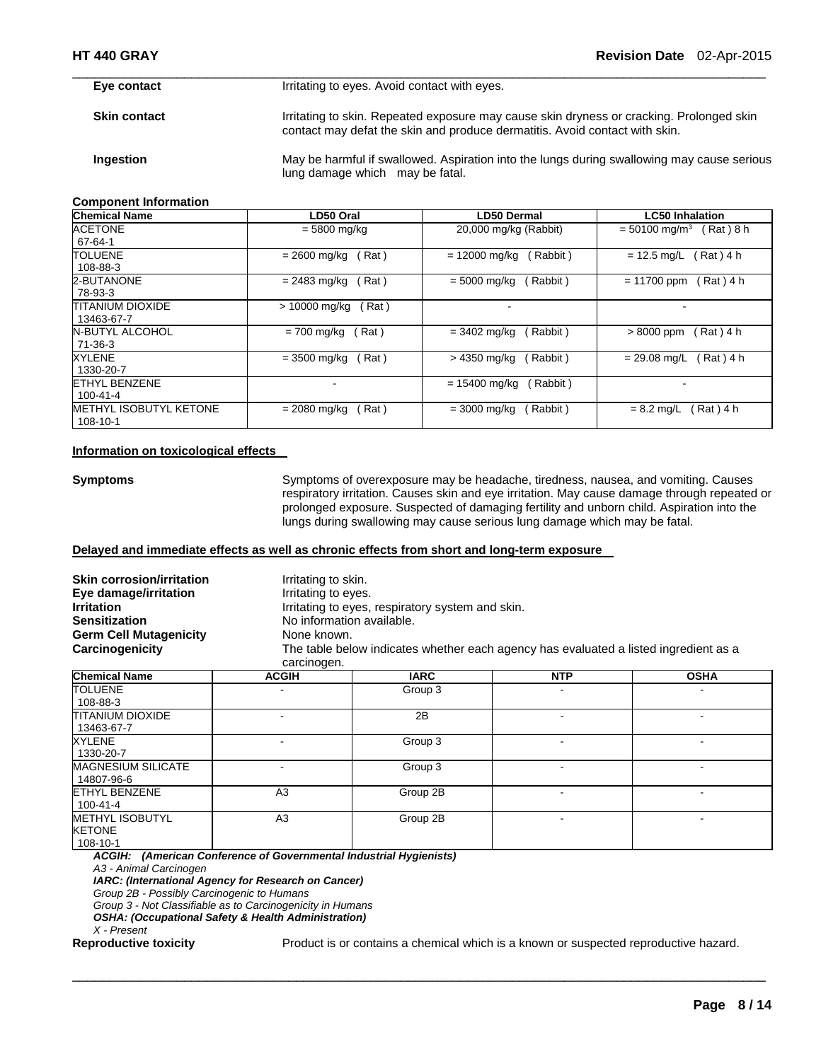**Eye contact I**rritating to eyes. Avoid contact with eyes. **Skin contact Irritating to skin. Repeated exposure may cause skin dryness or cracking. Prolonged skin** contact may defat the skin and produce dermatitis. Avoid contact with skin. **Ingestion May be harmful if swallowed. Aspiration into the lungs during swallowing may cause serious** lung damage which may be fatal.

 $\Box$ 

#### **Component Information**

| <b>Chemical Name</b>   | LD50 Oral              | <b>LD50 Dermal</b>                | <b>LC50 Inhalation</b>                  |
|------------------------|------------------------|-----------------------------------|-----------------------------------------|
| ACETONE                | $= 5800$ mg/kg         | 20,000 mg/kg (Rabbit)             | (Rat)8 h<br>$= 50100$ mg/m <sup>3</sup> |
| 67-64-1                |                        |                                   |                                         |
| TOLUENE                | Rat)<br>= 2600 mg/kg   | $= 12000$ mg/kg<br>Rabbit)        | (Rat)4 h<br>$= 12.5$ mg/L               |
| 108-88-3               |                        |                                   |                                         |
| 2-BUTANONE             | Rat)<br>$= 2483$ mg/kg | Rabbit)<br>$= 5000 \text{ mg/kg}$ | Rat) 4 h<br>$= 11700$ ppm               |
| 78-93-3                |                        |                                   |                                         |
| TITANIUM DIOXIDE       | > 10000 ma/ka<br>Rat)  |                                   |                                         |
| 13463-67-7             |                        |                                   |                                         |
| N-BUTYL ALCOHOL        | $= 700$ mg/kg<br>Rat)  | Rabbit)<br>$= 3402$ mg/kg         | $>8000$ ppm<br>(Rat)4 h                 |
| 71-36-3                |                        |                                   |                                         |
| <b>XYLENE</b>          | Rat)<br>$= 3500$ mg/kg | Rabbit)<br>> 4350 mg/kg           | Rat) 4 h<br>$= 29.08$ mg/L              |
| 1330-20-7              |                        |                                   |                                         |
| <b>ETHYL BENZENE</b>   |                        | $= 15400$ mg/kg<br>Rabbit)        |                                         |
| 100-41-4               |                        |                                   |                                         |
| METHYL ISOBUTYL KETONE | Rat)<br>$= 2080$ mg/kg | Rabbit)<br>$= 3000$ mg/kg         | Rat ) 4 h<br>$= 8.2$ mg/L               |
| 108-10-1               |                        |                                   |                                         |

#### **Information on toxicological effects**

**Symptoms** Symptoms of overexposure may be headache, tiredness, nausea, and vomiting. Causes respiratory irritation. Causes skin and eye irritation. May cause damage through repeated or prolonged exposure. Suspected of damaging fertility and unborn child. Aspiration into the lungs during swallowing may cause serious lung damage which may be fatal.

# **Delayed and immediate effects as well as chronic effects from short and long-term exposure**

| <b>Skin corrosion/irritation</b><br>Eye damage/irritation<br><b>Irritation</b><br><b>Sensitization</b><br><b>Germ Cell Mutagenicity</b><br>Carcinogenicity                                        | Irritating to skin.<br>Irritating to eyes.<br>No information available.<br>None known.<br>carcinogen. | Irritating to eyes, respiratory system and skin.<br>The table below indicates whether each agency has evaluated a listed ingredient as a |                |                |
|---------------------------------------------------------------------------------------------------------------------------------------------------------------------------------------------------|-------------------------------------------------------------------------------------------------------|------------------------------------------------------------------------------------------------------------------------------------------|----------------|----------------|
| <b>Chemical Name</b>                                                                                                                                                                              | <b>ACGIH</b>                                                                                          | <b>IARC</b>                                                                                                                              | <b>NTP</b>     | <b>OSHA</b>    |
| <b>TOLUENE</b><br>108-88-3                                                                                                                                                                        |                                                                                                       | Group 3                                                                                                                                  |                |                |
| TITANIUM DIOXIDE<br>13463-67-7                                                                                                                                                                    | $\blacksquare$                                                                                        | 2B                                                                                                                                       | $\blacksquare$ | $\blacksquare$ |
| <b>XYLENE</b><br>1330-20-7                                                                                                                                                                        | $\blacksquare$                                                                                        | Group 3                                                                                                                                  | $\blacksquare$ |                |
| <b>MAGNESIUM SILICATE</b><br>14807-96-6                                                                                                                                                           | ٠                                                                                                     | Group 3                                                                                                                                  | ۰              |                |
| <b>ETHYL BENZENE</b><br>$100 - 41 - 4$                                                                                                                                                            | A <sub>3</sub>                                                                                        | Group 2B                                                                                                                                 |                |                |
| <b>METHYL ISOBUTYL</b><br><b>KETONE</b><br>108-10-1                                                                                                                                               | A <sub>3</sub>                                                                                        | Group 2B                                                                                                                                 |                |                |
| ACGIH: (American Conference of Governmental Industrial Hygienists)<br>A3 - Animal Carcinogen<br>IARC: (International Agency for Research on Cancer)<br>Group 2B - Possibly Carcinogenic to Humans |                                                                                                       |                                                                                                                                          |                |                |
| Group 3 - Not Classifiable as to Carcinogenicity in Humans<br><b>OSHA: (Occupational Safety &amp; Health Administration)</b><br>X - Present                                                       |                                                                                                       |                                                                                                                                          |                |                |

 $\Box$ 

**Reproductive toxicity** Product is or contains a chemical which is a known or suspected reproductive hazard.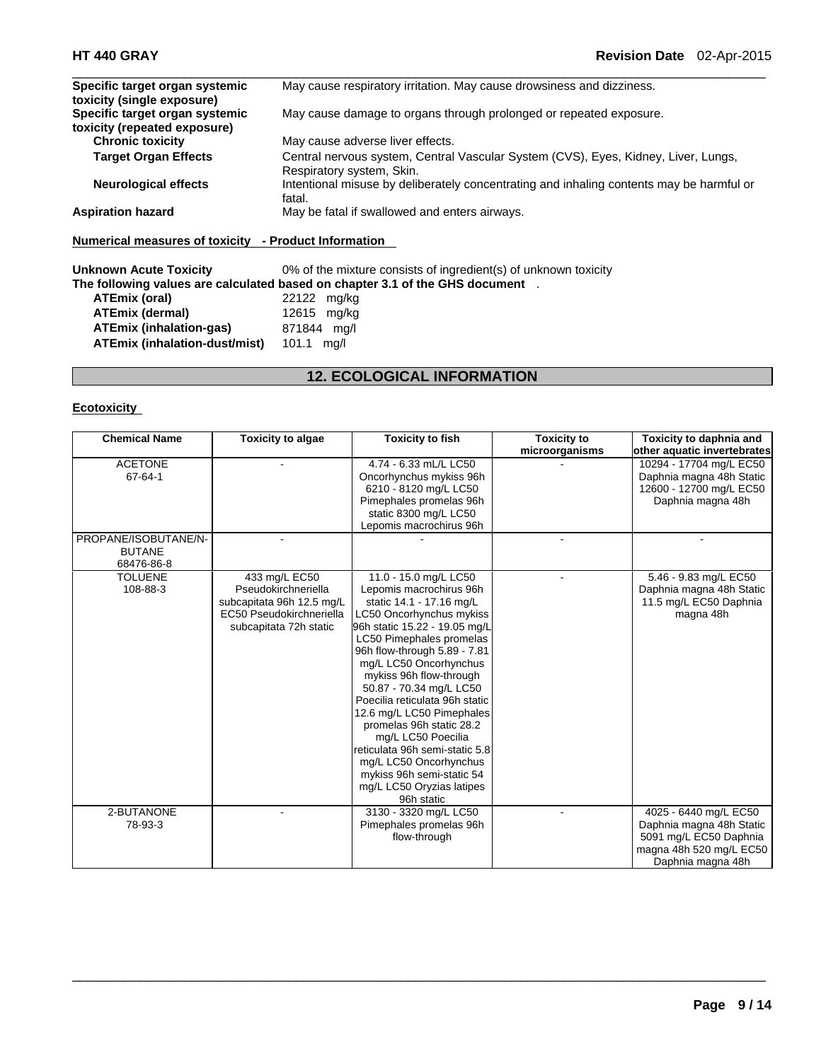| May cause respiratory irritation. May cause drowsiness and dizziness.                                           |
|-----------------------------------------------------------------------------------------------------------------|
|                                                                                                                 |
| May cause damage to organs through prolonged or repeated exposure.                                              |
|                                                                                                                 |
| May cause adverse liver effects.                                                                                |
| Central nervous system, Central Vascular System (CVS), Eyes, Kidney, Liver, Lungs,<br>Respiratory system, Skin. |
| Intentional misuse by deliberately concentrating and inhaling contents may be harmful or<br>fatal.              |
| May be fatal if swallowed and enters airways.                                                                   |
|                                                                                                                 |

 $\Box$ 

**Numerical measures of toxicity - Product Information** 

**Unknown Acute Toxicity 0% of the mixture consists of ingredient(s) of unknown toxicity The following values are calculated based on chapter 3.1 of the GHS document** . **ATEmix (oral)** 22122 mg/kg **ATEmix (dermal)** 12615 mg/kg **ATEmix (inhalation-gas)** 871844 mg/l **ATEmix (inhalation-dust/mist)** 101.1 mg/l

# **12. ECOLOGICAL INFORMATION**

### **Ecotoxicity**

| <b>Chemical Name</b>                                | <b>Toxicity to algae</b>                                                                                                | <b>Toxicity to fish</b>                                                                                                                                                                                                                                                                                                                                                                                                                                                                                                                    | <b>Toxicity to</b> | Toxicity to daphnia and                                                                                                     |
|-----------------------------------------------------|-------------------------------------------------------------------------------------------------------------------------|--------------------------------------------------------------------------------------------------------------------------------------------------------------------------------------------------------------------------------------------------------------------------------------------------------------------------------------------------------------------------------------------------------------------------------------------------------------------------------------------------------------------------------------------|--------------------|-----------------------------------------------------------------------------------------------------------------------------|
|                                                     |                                                                                                                         |                                                                                                                                                                                                                                                                                                                                                                                                                                                                                                                                            | microorganisms     | other aquatic invertebrates                                                                                                 |
| <b>ACETONE</b><br>67-64-1                           |                                                                                                                         | 4.74 - 6.33 mL/L LC50<br>Oncorhynchus mykiss 96h<br>6210 - 8120 mg/L LC50<br>Pimephales promelas 96h<br>static 8300 mg/L LC50<br>Lepomis macrochirus 96h                                                                                                                                                                                                                                                                                                                                                                                   |                    | 10294 - 17704 mg/L EC50<br>Daphnia magna 48h Static<br>12600 - 12700 mg/L EC50<br>Daphnia magna 48h                         |
| PROPANE/ISOBUTANE/N-<br><b>BUTANE</b><br>68476-86-8 |                                                                                                                         |                                                                                                                                                                                                                                                                                                                                                                                                                                                                                                                                            |                    |                                                                                                                             |
| <b>TOLUENE</b><br>108-88-3                          | 433 mg/L EC50<br>Pseudokirchneriella<br>subcapitata 96h 12.5 mg/L<br>EC50 Pseudokirchneriella<br>subcapitata 72h static | 11.0 - 15.0 mg/L LC50<br>Lepomis macrochirus 96h<br>static 14.1 - 17.16 mg/L<br>LC50 Oncorhynchus mykiss<br>96h static 15.22 - 19.05 mg/L<br>LC50 Pimephales promelas<br>96h flow-through 5.89 - 7.81<br>mg/L LC50 Oncorhynchus<br>mykiss 96h flow-through<br>50.87 - 70.34 mg/L LC50<br>Poecilia reticulata 96h static<br>12.6 mg/L LC50 Pimephales<br>promelas 96h static 28.2<br>mg/L LC50 Poecilia<br>reticulata 96h semi-static 5.8<br>mg/L LC50 Oncorhynchus<br>mykiss 96h semi-static 54<br>mg/L LC50 Oryzias latipes<br>96h static |                    | 5.46 - 9.83 mg/L EC50<br>Daphnia magna 48h Static<br>11.5 mg/L EC50 Daphnia<br>magna 48h                                    |
| 2-BUTANONE<br>78-93-3                               |                                                                                                                         | 3130 - 3320 mg/L LC50<br>Pimephales promelas 96h<br>flow-through                                                                                                                                                                                                                                                                                                                                                                                                                                                                           |                    | 4025 - 6440 mg/L EC50<br>Daphnia magna 48h Static<br>5091 mg/L EC50 Daphnia<br>magna 48h 520 mg/L EC50<br>Daphnia magna 48h |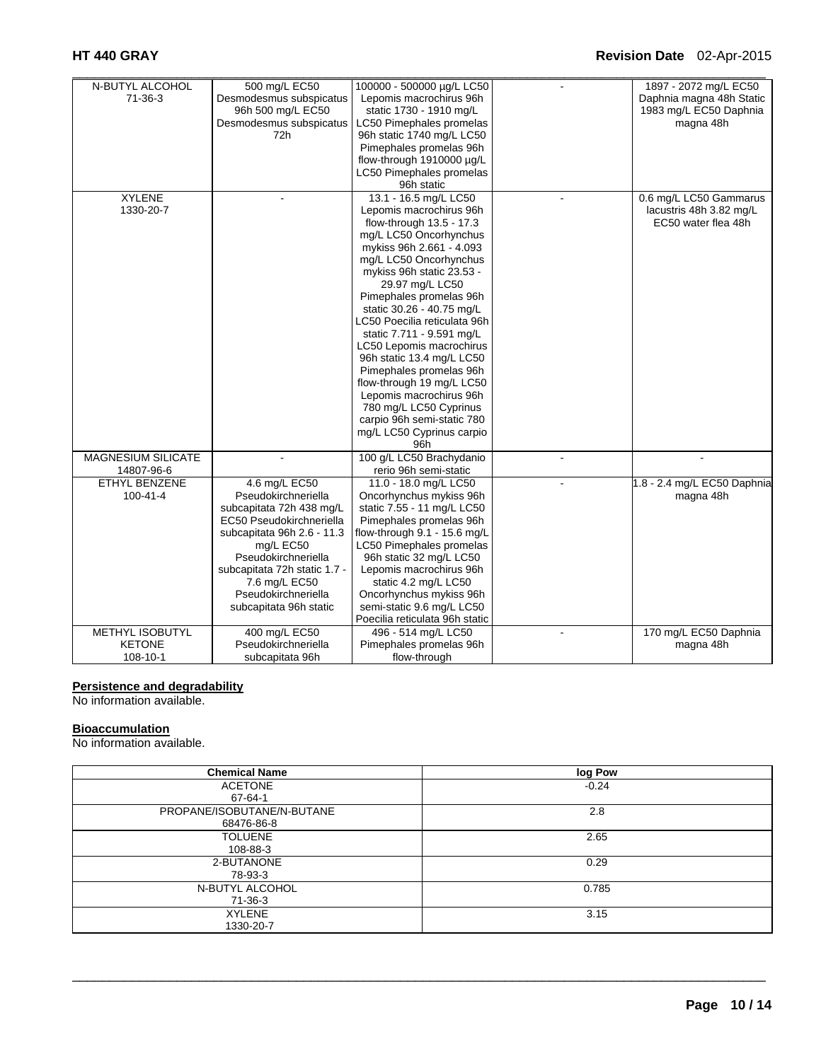| N-BUTYL ALCOHOL        | 500 mg/L EC50                | 100000 - 500000 µg/L LC50      |                          | 1897 - 2072 mg/L EC50       |
|------------------------|------------------------------|--------------------------------|--------------------------|-----------------------------|
| 71-36-3                | Desmodesmus subspicatus      | Lepomis macrochirus 96h        |                          | Daphnia magna 48h Static    |
|                        | 96h 500 mg/L EC50            | static 1730 - 1910 mg/L        |                          | 1983 mg/L EC50 Daphnia      |
|                        | Desmodesmus subspicatus      | LC50 Pimephales promelas       |                          | magna 48h                   |
|                        | 72h                          | 96h static 1740 mg/L LC50      |                          |                             |
|                        |                              | Pimephales promelas 96h        |                          |                             |
|                        |                              | flow-through 1910000 µg/L      |                          |                             |
|                        |                              | LC50 Pimephales promelas       |                          |                             |
|                        |                              | 96h static                     |                          |                             |
| <b>XYLENE</b>          | $\overline{a}$               | 13.1 - 16.5 mg/L LC50          | $\overline{a}$           | 0.6 mg/L LC50 Gammarus      |
| 1330-20-7              |                              | Lepomis macrochirus 96h        |                          | lacustris 48h 3.82 mg/L     |
|                        |                              | flow-through 13.5 - 17.3       |                          | EC50 water flea 48h         |
|                        |                              | mg/L LC50 Oncorhynchus         |                          |                             |
|                        |                              | mykiss 96h 2.661 - 4.093       |                          |                             |
|                        |                              | mg/L LC50 Oncorhynchus         |                          |                             |
|                        |                              | mykiss 96h static 23.53 -      |                          |                             |
|                        |                              | 29.97 mg/L LC50                |                          |                             |
|                        |                              | Pimephales promelas 96h        |                          |                             |
|                        |                              | static 30.26 - 40.75 mg/L      |                          |                             |
|                        |                              | LC50 Poecilia reticulata 96h   |                          |                             |
|                        |                              | static 7.711 - 9.591 mg/L      |                          |                             |
|                        |                              | LC50 Lepomis macrochirus       |                          |                             |
|                        |                              | 96h static 13.4 mg/L LC50      |                          |                             |
|                        |                              | Pimephales promelas 96h        |                          |                             |
|                        |                              | flow-through 19 mg/L LC50      |                          |                             |
|                        |                              | Lepomis macrochirus 96h        |                          |                             |
|                        |                              | 780 mg/L LC50 Cyprinus         |                          |                             |
|                        |                              | carpio 96h semi-static 780     |                          |                             |
|                        |                              | mg/L LC50 Cyprinus carpio      |                          |                             |
|                        |                              | 96h                            |                          |                             |
| MAGNESIUM SILICATE     |                              | 100 g/L LC50 Brachydanio       |                          |                             |
| 14807-96-6             |                              | rerio 96h semi-static          |                          |                             |
| <b>ETHYL BENZENE</b>   | 4.6 mg/L EC50                | 11.0 - 18.0 mg/L LC50          |                          | 1.8 - 2.4 mg/L EC50 Daphnia |
| $100 - 41 - 4$         | Pseudokirchneriella          | Oncorhynchus mykiss 96h        |                          | magna 48h                   |
|                        | subcapitata 72h 438 mg/L     | static 7.55 - 11 mg/L LC50     |                          |                             |
|                        | EC50 Pseudokirchneriella     | Pimephales promelas 96h        |                          |                             |
|                        | subcapitata 96h 2.6 - 11.3   | flow-through 9.1 - 15.6 mg/L   |                          |                             |
|                        | mg/L EC50                    | LC50 Pimephales promelas       |                          |                             |
|                        | Pseudokirchneriella          | 96h static 32 mg/L LC50        |                          |                             |
|                        | subcapitata 72h static 1.7 - | Lepomis macrochirus 96h        |                          |                             |
|                        | 7.6 mg/L EC50                | static 4.2 mg/L LC50           |                          |                             |
|                        | Pseudokirchneriella          | Oncorhynchus mykiss 96h        |                          |                             |
|                        | subcapitata 96h static       | semi-static 9.6 mg/L LC50      |                          |                             |
|                        |                              | Poecilia reticulata 96h static |                          |                             |
| <b>METHYL ISOBUTYL</b> | 400 mg/L EC50                | 496 - 514 mg/L LC50            | $\overline{\phantom{a}}$ | 170 mg/L EC50 Daphnia       |
| <b>KETONE</b>          | Pseudokirchneriella          | Pimephales promelas 96h        |                          | magna 48h                   |
| 108-10-1               | subcapitata 96h              | flow-through                   |                          |                             |

#### **Persistence and degradability**

No information available.

# **Bioaccumulation**

No information available.

| <b>Chemical Name</b>       | log Pow |
|----------------------------|---------|
| <b>ACETONE</b>             | $-0.24$ |
| 67-64-1                    |         |
| PROPANE/ISOBUTANE/N-BUTANE | 2.8     |
| 68476-86-8                 |         |
| <b>TOLUENE</b>             | 2.65    |
| 108-88-3                   |         |
| 2-BUTANONE                 | 0.29    |
| 78-93-3                    |         |
| N-BUTYL ALCOHOL            | 0.785   |
| 71-36-3                    |         |
| <b>XYLENE</b>              | 3.15    |
| 1330-20-7                  |         |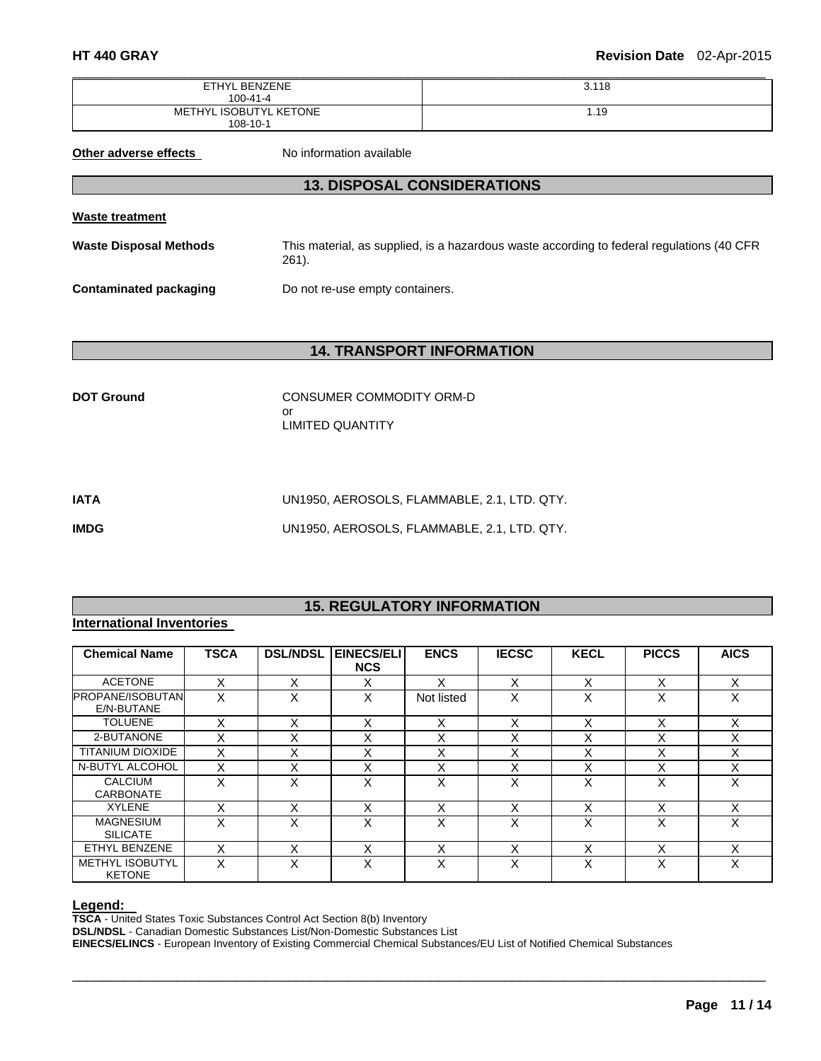| ETHYL BENZENE          | 3.118 |
|------------------------|-------|
| $100 - 41 - 4$         |       |
| METHYL ISOBUTYL KETONE | 19. ا |
| $108 - 10 - 1$         |       |

**Other adverse effects** No information available

# **13. DISPOSAL CONSIDERATIONS**

**Waste treatment** 

**Waste Disposal Methods** This material, as supplied, is a hazardous waste according to federal regulations (40 CFR 261).

**Contaminated packaging <br>Do not re-use empty containers.** 

# **14. TRANSPORT INFORMATION**

| <b>DOT Ground</b> | CONSUMER COMMODITY ORM-D |
|-------------------|--------------------------|
|                   | nr                       |
|                   | LIMITED QUANTITY         |

| IATA        | UN1950, AEROSOLS, FLAMMABLE, 2.1, LTD, QTY, |
|-------------|---------------------------------------------|
| <b>IMDG</b> | UN1950, AEROSOLS, FLAMMABLE, 2.1, LTD, QTY, |

# **15. REGULATORY INFORMATION**

# **International Inventories**

| <b>Chemical Name</b>                    | <b>TSCA</b> | <b>DSL/NDSL</b> | EINECS/ELI<br><b>NCS</b> | <b>ENCS</b> | <b>IECSC</b> | <b>KECL</b>       | <b>PICCS</b> | <b>AICS</b> |
|-----------------------------------------|-------------|-----------------|--------------------------|-------------|--------------|-------------------|--------------|-------------|
| <b>ACETONE</b>                          | X           | x               | Χ                        | X           | X            | X                 | X            | X           |
| <b>PROPANE/ISOBUTANI</b><br>E/N-BUTANE  | X           | X               | Χ                        | Not listed  | X            | $\checkmark$<br>⋏ | X            | X           |
| <b>TOLUENE</b>                          | x           | X               | X                        | X           | X            | X                 | X            | X           |
| 2-BUTANONE                              | X           | x               | $\checkmark$<br>∧        | Χ           | v<br>ᄉ       | $\checkmark$<br>⌒ | X            | X           |
| <b>TITANIUM DIOXIDE</b>                 | X           | X               | X                        | X           | X            | X                 | X            | X           |
| N-BUTYL ALCOHOL                         | X           | Χ               | $\checkmark$<br>∧        | X           | x            | v<br>⌒            | X            | X           |
| <b>CALCIUM</b><br><b>CARBONATE</b>      | X           | X               | Χ                        | X           | X            | X                 | X            | X           |
| <b>XYLENE</b>                           | X           | X               | X                        | X           | X            | X                 | X            | X           |
| <b>MAGNESIUM</b><br><b>SILICATE</b>     | x           | X               | Χ                        | X           | X            | X                 | X            | X           |
| ETHYL BENZENE                           | x           | x               | X                        | х           | x            |                   | x            | X           |
| <b>METHYL ISOBUTYL</b><br><b>KETONE</b> | x           | x               | x                        | X           | x            | v<br>⌒            | x            | x           |

 $\Box$ 

**Legend: TSCA** - United States Toxic Substances Control Act Section 8(b) Inventory

**DSL/NDSL** - Canadian Domestic Substances List/Non-Domestic Substances List

**EINECS/ELINCS** - European Inventory of Existing Commercial Chemical Substances/EU List of Notified Chemical Substances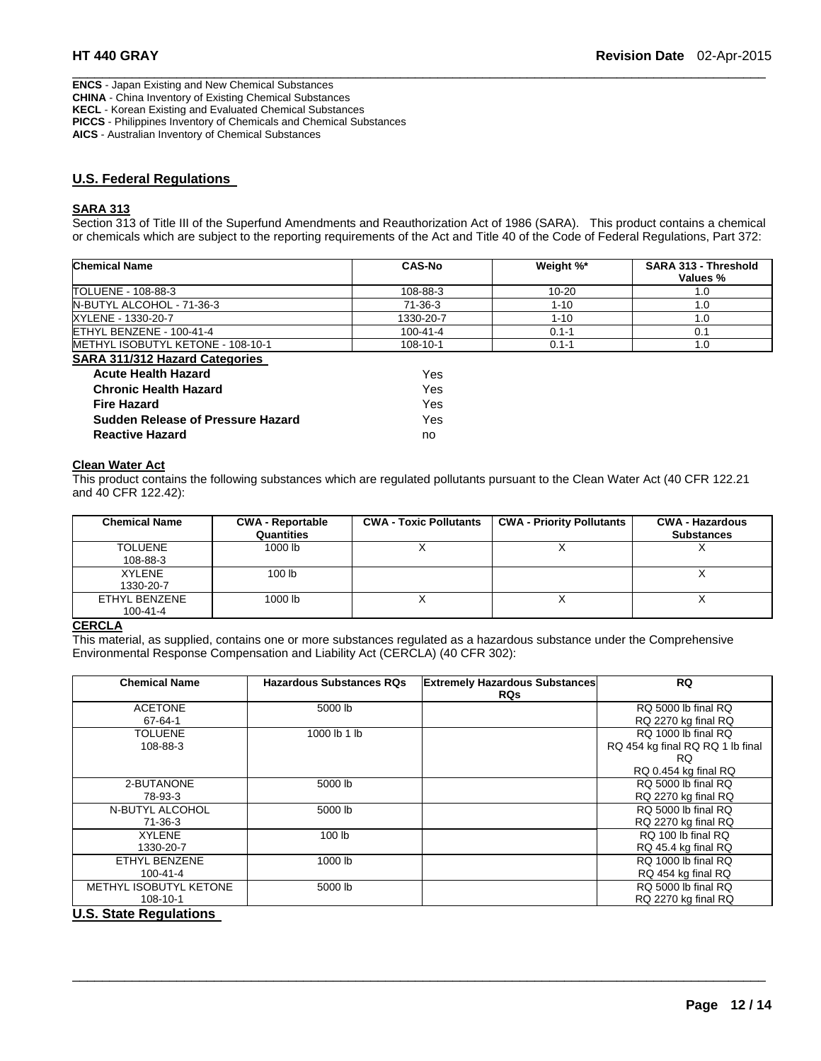**ENCS** - Japan Existing and New Chemical Substances **CHINA** - China Inventory of Existing Chemical Substances **KECL** - Korean Existing and Evaluated Chemical Substances **PICCS** - Philippines Inventory of Chemicals and Chemical Substances **AICS** - Australian Inventory of Chemical Substances

# **U.S. Federal Regulations**

#### **SARA 313**

Section 313 of Title III of the Superfund Amendments and Reauthorization Act of 1986 (SARA). This product contains a chemical or chemicals which are subject to the reporting requirements of the Act and Title 40 of the Code of Federal Regulations, Part 372:

 $\Box$ 

| <b>Chemical Name</b>                      | <b>CAS-No</b>  | Weight %* | <b>SARA 313 - Threshold</b><br>Values % |
|-------------------------------------------|----------------|-----------|-----------------------------------------|
| TOLUENE - 108-88-3                        | 108-88-3       | $10 - 20$ | 1.0                                     |
| N-BUTYL ALCOHOL - 71-36-3                 | 71-36-3        | $1 - 10$  | 1.0                                     |
| XYLENE - 1330-20-7                        | 1330-20-7      | $1 - 10$  | 1.0                                     |
| ETHYL BENZENE - 100-41-4                  | $100 - 41 - 4$ | $0.1 - 1$ | 0.1                                     |
| <b>IMETHYL ISOBUTYL KETONE - 108-10-1</b> | 108-10-1       | $0.1 - 1$ | 1.0                                     |
| <b>SARA 311/312 Hazard Categories</b>     |                |           |                                         |
| <b>Acute Health Hazard</b>                | Yes            |           |                                         |
| <b>Chronic Health Hazard</b>              | Yes            |           |                                         |

| Avult Health Hazaru                      | נסים ו |
|------------------------------------------|--------|
| <b>Chronic Health Hazard</b>             | Yes.   |
| <b>Fire Hazard</b>                       | Yes    |
| <b>Sudden Release of Pressure Hazard</b> | Yes.   |
| <b>Reactive Hazard</b>                   | no     |

#### **Clean Water Act**

This product contains the following substances which are regulated pollutants pursuant to the Clean Water Act (40 CFR 122.21 and 40 CFR 122.42):

| <b>Chemical Name</b> | <b>CWA - Reportable</b><br>Quantities | <b>CWA - Toxic Pollutants</b> | <b>CWA - Priority Pollutants</b> | <b>CWA - Hazardous</b><br><b>Substances</b> |
|----------------------|---------------------------------------|-------------------------------|----------------------------------|---------------------------------------------|
| <b>TOLUENE</b>       | 1000 lb                               |                               |                                  |                                             |
| 108-88-3             |                                       |                               |                                  |                                             |
| XYLENE               | 100 <sub>1b</sub>                     |                               |                                  |                                             |
| 1330-20-7            |                                       |                               |                                  |                                             |
| ETHYL BENZENE        | 1000 lb                               |                               |                                  |                                             |
| $100 - 41 - 4$       |                                       |                               |                                  |                                             |

#### **CERCLA**

This material, as supplied, contains one or more substances regulated as a hazardous substance under the Comprehensive Environmental Response Compensation and Liability Act (CERCLA) (40 CFR 302):

| <b>Chemical Name</b>                                                              | <b>Hazardous Substances RQs</b> | <b>Extremely Hazardous Substances</b> | <b>RQ</b>                        |
|-----------------------------------------------------------------------------------|---------------------------------|---------------------------------------|----------------------------------|
|                                                                                   |                                 | <b>RQs</b>                            |                                  |
| <b>ACETONE</b>                                                                    | 5000 lb                         |                                       | RQ 5000 lb final RQ              |
| 67-64-1                                                                           |                                 |                                       | RQ 2270 kg final RQ              |
| TOLUENE                                                                           | 1000 lb 1 lb                    |                                       | RQ 1000 lb final RQ              |
| 108-88-3                                                                          |                                 |                                       | RQ 454 kg final RQ RQ 1 lb final |
|                                                                                   |                                 |                                       | RQ.                              |
|                                                                                   |                                 |                                       | RQ 0.454 kg final RQ             |
| 2-BUTANONE                                                                        | 5000 lb                         |                                       | RQ 5000 lb final RQ              |
| 78-93-3                                                                           |                                 |                                       | RQ 2270 kg final RQ              |
| N-BUTYL ALCOHOL                                                                   | 5000 lb                         |                                       | RQ 5000 lb final RQ              |
| 71-36-3                                                                           |                                 |                                       | RQ 2270 kg final RQ              |
| <b>XYLENE</b>                                                                     | 100 lb                          |                                       | RQ 100 lb final RQ               |
| 1330-20-7                                                                         |                                 |                                       | RQ 45.4 kg final RQ              |
| ETHYL BENZENE                                                                     | 1000 lb                         |                                       | RQ 1000 lb final RQ              |
| 100-41-4                                                                          |                                 |                                       | RQ 454 kg final RQ               |
| METHYL ISOBUTYL KETONE                                                            | 5000 lb                         |                                       | RQ 5000 lb final RQ              |
| 108-10-1                                                                          |                                 |                                       | RQ 2270 kg final RQ              |
| $\mathbf{H} \cdot \mathbf{A}$ . As a set of $\mathbf{A}$ is a set of $\mathbf{A}$ |                                 |                                       |                                  |

 $\Box$ 

# **U.S. State Regulations**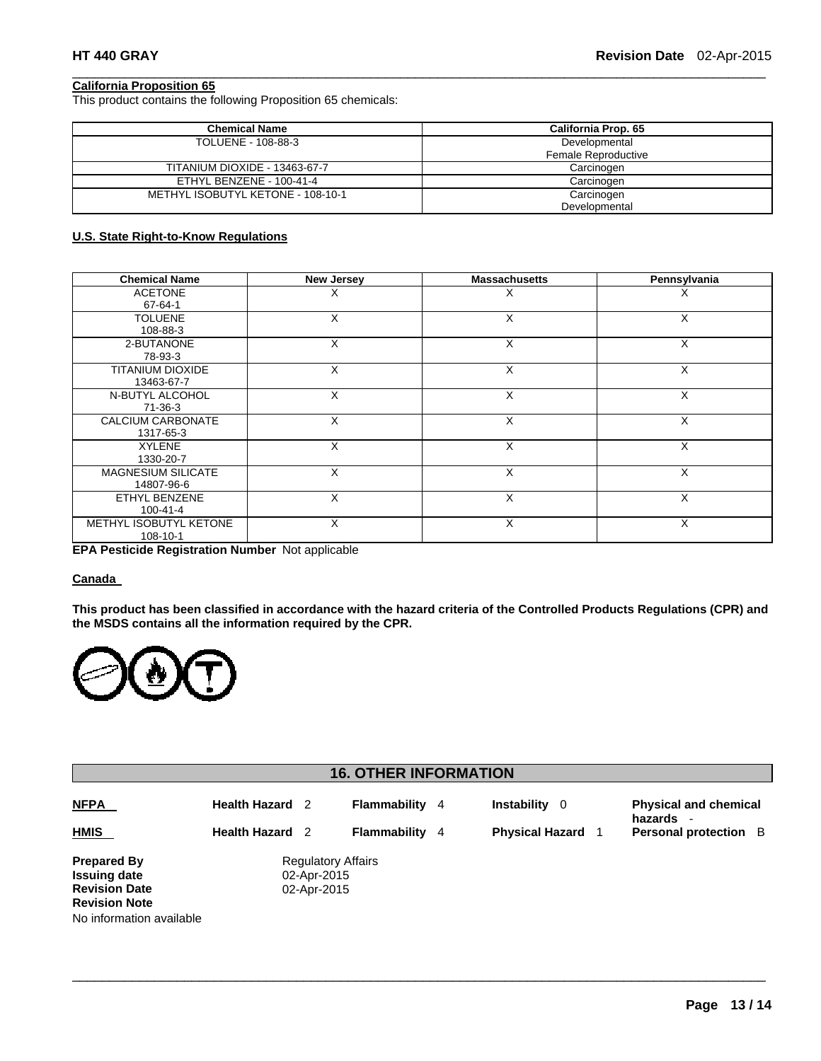#### **California Proposition 65**

This product contains the following Proposition 65 chemicals:

| <b>Chemical Name</b>                 | California Prop. 65 |  |  |
|--------------------------------------|---------------------|--|--|
| TOLUENE - 108-88-3                   | Developmental       |  |  |
|                                      | Female Reproductive |  |  |
| <b>TITANIUM DIOXIDE - 13463-67-7</b> | Carcinogen          |  |  |
| ETHYL BENZENE - 100-41-4             | Carcinogen          |  |  |
| METHYL ISOBUTYL KETONE - 108-10-1    | Carcinogen          |  |  |
|                                      | Developmental       |  |  |

 $\Box$ 

# **U.S. State Right-to-Know Regulations**

| <b>Chemical Name</b>      | <b>New Jersey</b>    | <b>Massachusetts</b> | Pennsylvania |
|---------------------------|----------------------|----------------------|--------------|
| <b>ACETONE</b>            | ∧                    | х                    | Х            |
| 67-64-1                   |                      |                      |              |
| <b>TOLUENE</b>            | X                    | X                    | X            |
| 108-88-3                  |                      |                      |              |
| 2-BUTANONE                | X                    | X                    | X            |
| 78-93-3                   |                      |                      |              |
| TITANIUM DIOXIDE          | X                    | X                    | X            |
| 13463-67-7                |                      |                      |              |
| N-BUTYL ALCOHOL           | X                    | X                    | X            |
| 71-36-3                   |                      |                      |              |
| CALCIUM CARBONATE         | X                    | X                    | X            |
| 1317-65-3                 |                      |                      |              |
| <b>XYLENE</b>             | X                    | X                    | X            |
| 1330-20-7                 |                      |                      |              |
| <b>MAGNESIUM SILICATE</b> | X                    | X                    | X            |
| 14807-96-6                |                      |                      |              |
| ETHYL BENZENE             | X                    | X                    | X            |
| $100 - 41 - 4$            |                      |                      |              |
| METHYL ISOBUTYL KETONE    | X                    | X                    | X            |
| 108-10-1                  | $\sim$ $\sim$ $\sim$ |                      |              |

**EPA Pesticide Registration Number** Not applicable

#### **Canada**

**This product has been classified in accordance with the hazard criteria of the Controlled Products Regulations (CPR) and the MSDS contains all the information required by the CPR.** 



| <b>16. OTHER INFORMATION</b>                                                                                          |                                                  |                                                         |                                                |  |                                                     |                                                                  |
|-----------------------------------------------------------------------------------------------------------------------|--------------------------------------------------|---------------------------------------------------------|------------------------------------------------|--|-----------------------------------------------------|------------------------------------------------------------------|
| <b>NFPA</b><br><b>HMIS</b>                                                                                            | <b>Health Hazard</b> 2<br><b>Health Hazard</b> 2 |                                                         | <b>Flammability</b> 4<br><b>Flammability</b> 4 |  | <b>Instability</b><br>- 0<br><b>Physical Hazard</b> | <b>Physical and chemical</b><br>hazards<br>Personal protection B |
| <b>Prepared By</b><br><b>Issuing date</b><br><b>Revision Date</b><br><b>Revision Note</b><br>No information available |                                                  | <b>Regulatory Affairs</b><br>02-Apr-2015<br>02-Apr-2015 |                                                |  |                                                     |                                                                  |